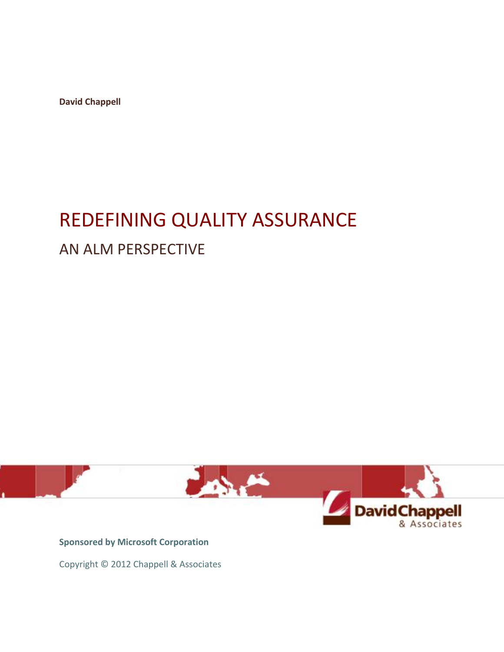**David Chappell**

# REDEFINING QUALITY ASSURANCE AN ALM PERSPECTIVE



**Sponsored by Microsoft Corporation**

Copyright © 2012 Chappell & Associates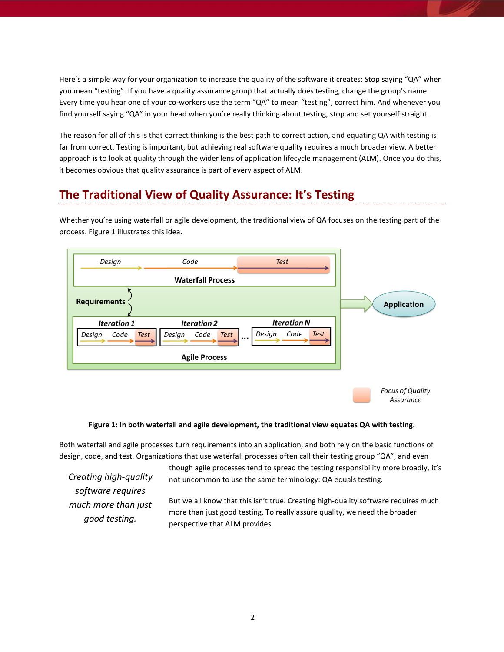Here's a simple way for your organization to increase the quality of the software it creates: Stop saying "QA" when you mean "testing". If you have a quality assurance group that actually does testing, change the group's name. Every time you hear one of your co-workers use the term "QA" to mean "testing", correct him. And whenever you find yourself saying "QA" in your head when you're really thinking about testing, stop and set yourself straight.

The reason for all of this is that correct thinking is the best path to correct action, and equating QA with testing is far from correct. Testing is important, but achieving real software quality requires a much broader view. A better approach is to look at quality through the wider lens of application lifecycle management (ALM). Once you do this, it becomes obvious that quality assurance is part of every aspect of ALM.

## **The Traditional View of Quality Assurance: It's Testing**

Whether you're using waterfall or agile development, the traditional view of QA focuses on the testing part of the process. Figure 1 illustrates this idea.



#### **Figure 1: In both waterfall and agile development, the traditional view equates QA with testing.**

Both waterfall and agile processes turn requirements into an application, and both rely on the basic functions of design, code, and test. Organizations that use waterfall processes often call their testing group "QA", and even

*Creating high-quality software requires much more than just good testing.*

though agile processes tend to spread the testing responsibility more broadly, it's not uncommon to use the same terminology: QA equals testing.

Assurance

But we all know that this isn't true. Creating high-quality software requires much more than just good testing. To really assure quality, we need the broader perspective that ALM provides.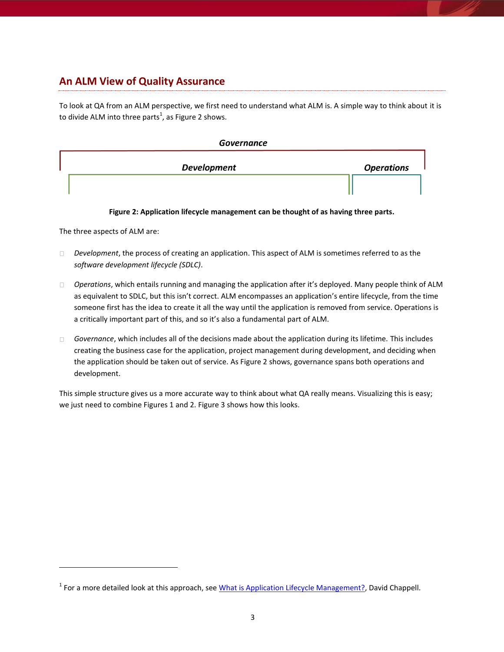## **An ALM View of Quality Assurance**

To look at QA from an ALM perspective, we first need to understand what ALM is. A simple way to think about it is to divide ALM into three parts<sup>1</sup>, as Figure 2 shows.

#### **Governance**

|                    | <b>Operations</b> |
|--------------------|-------------------|
|                    |                   |
| <b>Development</b> |                   |

**Figure 2: Application lifecycle management can be thought of as having three parts.**

The three aspects of ALM are:

 $\overline{a}$ 

- *Development*, the process of creating an application. This aspect of ALM is sometimes referred to as the  $\Box$ *software development lifecycle (SDLC)*.
- *Operations*, which entails running and managing the application after it's deployed. Many people think of ALM as equivalent to SDLC, but this isn't correct. ALM encompasses an application's entire lifecycle, from the time someone first has the idea to create it all the way until the application is removed from service. Operations is a critically important part of this, and so it's also a fundamental part of ALM.
- *Governance*, which includes all of the decisions made about the application during its lifetime. This includes  $\Box$ creating the business case for the application, project management during development, and deciding when the application should be taken out of service. As Figure 2 shows, governance spans both operations and development.

This simple structure gives us a more accurate way to think about what QA really means. Visualizing this is easy; we just need to combine Figures 1 and 2. Figure 3 shows how this looks.

<sup>&</sup>lt;sup>1</sup> For a more detailed look at this approach, see <u>What is Application Lifecycle Management?</u>, David Chappell.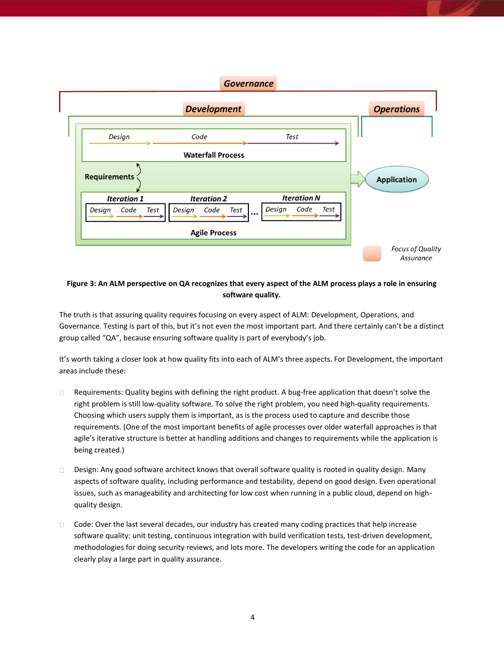#### **Governance**



#### **Figure 3: An ALM perspective on QA recognizes that every aspect of the ALM process plays a role in ensuring software quality.**

The truth is that assuring quality requires focusing on every aspect of ALM: Development, Operations, and Governance. Testing is part of this, but it's not even the most important part. And there certainly can't be a distinct group called "QA", because ensuring software quality is part of everybody's job.

It's worth taking a closer look at how quality fits into each of ALM's three aspects. For Development, the important areas include these:

- $\Box$ Requirements: Quality begins with defining the right product. A bug-free application that doesn't solve the right problem is still low-quality software. To solve the right problem, you need high-quality requirements. Choosing which users supply them is important, as is the process used to capture and describe those requirements. (One of the most important benefits of agile processes over older waterfall approaches is that agile's iterative structure is better at handling additions and changes to requirements while the application is being created.)
- Design: Any good software architect knows that overall software quality is rooted in quality design. Many  $\Box$ aspects of software quality, including performance and testability, depend on good design. Even operational issues, such as manageability and architecting for low cost when running in a public cloud, depend on highquality design.
- Code: Over the last several decades, our industry has created many coding practices that help increase  $\Box$ software quality: unit testing, continuous integration with build verification tests, test-driven development, methodologies for doing security reviews, and lots more. The developers writing the code for an application clearly play a large part in quality assurance.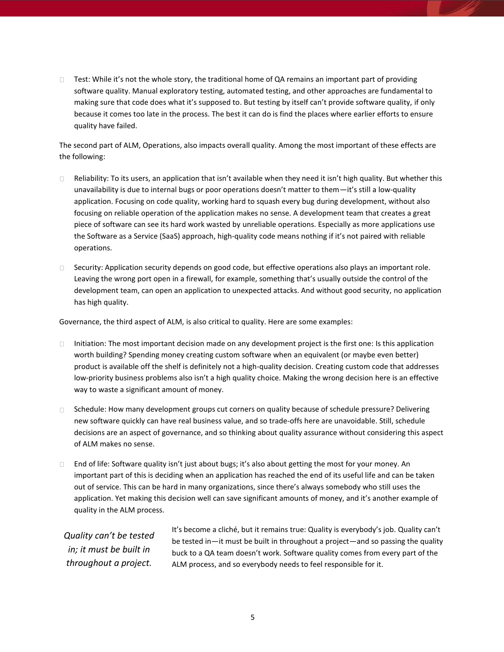Test: While it's not the whole story, the traditional home of QA remains an important part of providing  $\Box$ software quality. Manual exploratory testing, automated testing, and other approaches are fundamental to making sure that code does what it's supposed to. But testing by itself can't provide software quality, if only because it comes too late in the process. The best it can do is find the places where earlier efforts to ensure quality have failed.

The second part of ALM, Operations, also impacts overall quality. Among the most important of these effects are the following:

- Reliability: To its users, an application that isn't available when they need it isn't high quality. But whether this  $\Box$ unavailability is due to internal bugs or poor operations doesn't matter to them—it's still a low-quality application. Focusing on code quality, working hard to squash every bug during development, without also focusing on reliable operation of the application makes no sense. A development team that creates a great piece of software can see its hard work wasted by unreliable operations. Especially as more applications use the Software as a Service (SaaS) approach, high-quality code means nothing if it's not paired with reliable operations.
- □ Security: Application security depends on good code, but effective operations also plays an important role. Leaving the wrong port open in a firewall, for example, something that's usually outside the control of the development team, can open an application to unexpected attacks. And without good security, no application has high quality.

Governance, the third aspect of ALM, is also critical to quality. Here are some examples:

- Initiation: The most important decision made on any development project is the first one: Is this application  $\Box$ worth building? Spending money creating custom software when an equivalent (or maybe even better) product is available off the shelf is definitely not a high-quality decision. Creating custom code that addresses low-priority business problems also isn't a high quality choice. Making the wrong decision here is an effective way to waste a significant amount of money.
- Schedule: How many development groups cut corners on quality because of schedule pressure? Delivering  $\Box$ new software quickly can have real business value, and so trade-offs here are unavoidable. Still, schedule decisions are an aspect of governance, and so thinking about quality assurance without considering this aspect of ALM makes no sense.
- $\Box$  End of life: Software quality isn't just about bugs; it's also about getting the most for your money. An important part of this is deciding when an application has reached the end of its useful life and can be taken out of service. This can be hard in many organizations, since there's always somebody who still uses the application. Yet making this decision well can save significant amounts of money, and it's another example of quality in the ALM process.

*Quality can't be tested in; it must be built in throughout a project.*

It's become a cliché, but it remains true: Quality is everybody's job. Quality can't be tested in—it must be built in throughout a project—and so passing the quality buck to a QA team doesn't work. Software quality comes from every part of the ALM process, and so everybody needs to feel responsible for it.